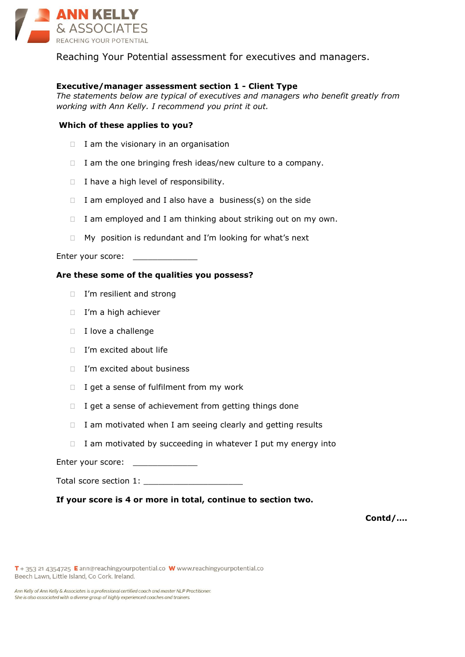

Reaching Your Potential assessment for executives and managers.

# **Executive/manager assessment section 1 - Client Type**

*The statements below are typical of executives and managers who benefit greatly from working with Ann Kelly. I recommend you print it out.*

# **Which of these applies to you?**

- $\Box$  I am the visionary in an organisation
- $\Box$  I am the one bringing fresh ideas/new culture to a company.
- $\Box$  I have a high level of responsibility.
- $\Box$  I am employed and I also have a business(s) on the side
- $\Box$  I am employed and I am thinking about striking out on my own.
- $\Box$  My position is redundant and I'm looking for what's next

Enter your score: \_\_\_\_\_\_\_\_\_\_\_

#### **Are these some of the qualities you possess?**

- I'm resilient and strong
- □ I'm a high achiever
- $\Box$  I love a challenge
- $I'm$  excited about life
- □ I'm excited about business
- $\Box$  I get a sense of fulfilment from my work
- $\Box$  I get a sense of achievement from getting things done
- $\Box$  I am motivated when I am seeing clearly and getting results
- $\Box$  I am motivated by succeeding in whatever I put my energy into

Enter your score: \_\_\_\_\_\_\_\_\_

| Total score section 1: |  |
|------------------------|--|
|------------------------|--|

## **If your score is 4 or more in total, continue to section two.**

**Contd/….**

T + 353 21 4354725 E ann@reachingyourpotential.co W www.reachingyourpotential.co Beech Lawn, Little Island, Co Cork. Ireland.

Ann Kelly of Ann Kelly & Associates is a professional certified coach and master NLP Practitioner. She is also associated with a diverse group of highly experienced coaches and trainers.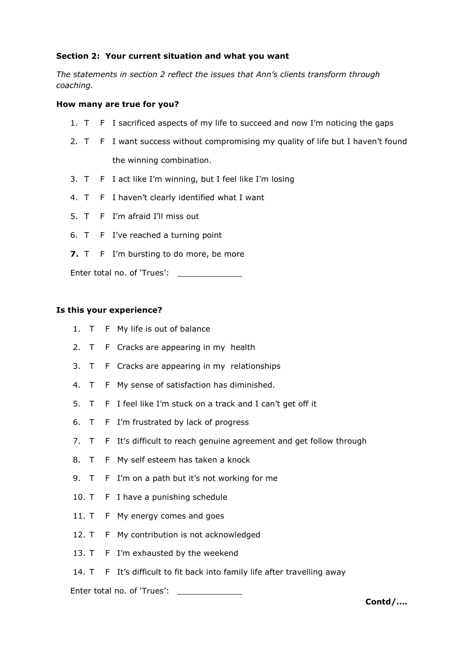# **Section 2: Your current situation and what you want**

*The statements in section 2 reflect the issues that Ann's clients transform through coaching.* 

## **How many are true for you?**

- 1. T F I sacrificed aspects of my life to succeed and now I'm noticing the gaps
- 2. T F I want success without compromising my quality of life but I haven't found the winning combination.
- 3. T F I act like I'm winning, but I feel like I'm losing
- 4. T F I haven't clearly identified what I want
- 5. T F I'm afraid I'll miss out
- 6. T F I've reached a turning point
- **7.** T F I'm bursting to do more, be more

Enter total no. of 'Trues':

#### **Is this your experience?**

- 1. T F My life is out of balance
- 2. T F Cracks are appearing in my health
- 3. T F Cracks are appearing in my relationships
- 4. T F My sense of satisfaction has diminished.
- 5. T F I feel like I'm stuck on a track and I can't get off it
- 6. T F I'm frustrated by lack of progress
- 7. T F It's difficult to reach genuine agreement and get follow through
- 8. T F My self esteem has taken a knock
- 9. T F I'm on a path but it's not working for me
- 10. T F I have a punishing schedule
- 11. T F My energy comes and goes
- 12. T F My contribution is not acknowledged
- 13. T F I'm exhausted by the weekend
- 14. T F It's difficult to fit back into family life after travelling away

Enter total no. of 'Trues': \_\_\_\_\_\_\_\_\_

**Contd/….**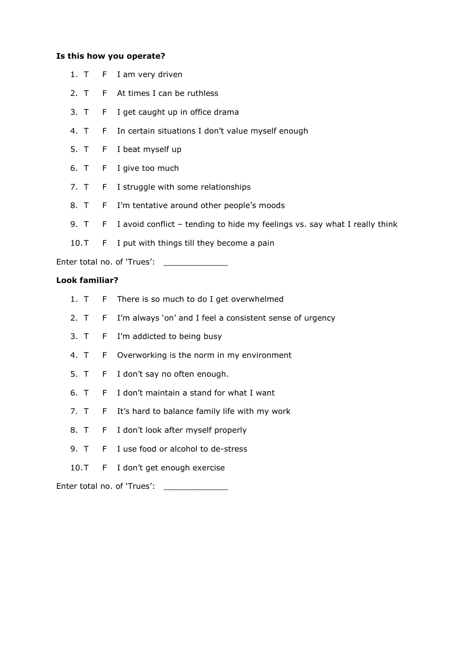# **Is this how you operate?**

- 1. T F I am very driven
- 2. T F At times I can be ruthless
- 3. T F I get caught up in office drama
- 4. T F In certain situations I don't value myself enough
- 5. T F I beat myself up
- 6. T F I give too much
- 7. T F I struggle with some relationships
- 8. T F I'm tentative around other people's moods
- 9. T F I avoid conflict tending to hide my feelings vs. say what I really think
- 10.T F I put with things till they become a pain

Enter total no. of 'Trues':

# **Look familiar?**

- 1. T F There is so much to do I get overwhelmed
- 2. T F I'm always 'on' and I feel a consistent sense of urgency
- 3. T F I'm addicted to being busy
- 4. T F Overworking is the norm in my environment
- 5. T F I don't say no often enough.
- 6. T F I don't maintain a stand for what I want
- 7. T F It's hard to balance family life with my work
- 8. T F I don't look after myself properly
- 9. T F I use food or alcohol to de-stress
- 10.T F I don't get enough exercise

Enter total no. of 'Trues': \_\_\_\_\_\_\_\_\_\_\_\_\_